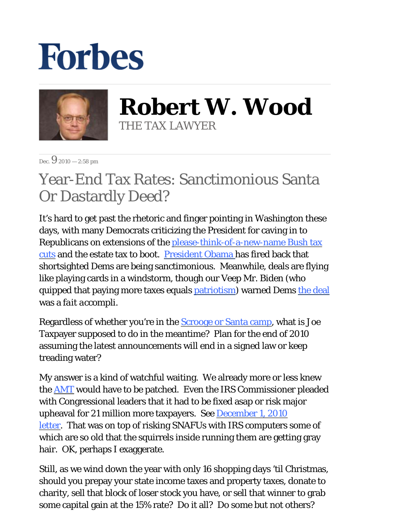## **Forbes**



**Robert W. Wood** THE TAX LAWYER

Dec.  $9_{2010}$  = 2:58 pm

## Year-End Tax Rates: Sanctimonious Santa Or Dastardly Deed?

It's hard to get past the rhetoric and finger pointing in Washington these days, with many Democrats criticizing the President for caving in to Republicans on extensions of the [please-think-of-a-new-name Bush tax](http://blogs.forbes.com/robertwood/2010/11/24/bush-tax-cuts-better-by-another-name/)  [cuts](http://blogs.forbes.com/robertwood/2010/11/24/bush-tax-cuts-better-by-another-name/) and the estate tax to boot. [President Obama h](http://online.wsj.com/article/SB10001424052748703963704576005914263946634.html?KEYWORDS=Obama+Lashes+Out)as fired back that shortsighted Dems are being sanctimonious. Meanwhile, deals are flying like playing cards in a windstorm, though our Veep Mr. Biden (who quipped that paying more taxes equals [patriotism\)](http://blogs.wsj.com/washwire/2008/09/18/biden-on-tax-increase-for-wealthier-citizens-time-to-be-patriotic/) warned Dems [the deal](http://online.wsj.com/article/SB10001424052748703493504576007560480857714.html?KEYWORDS=Tax+Plan+Spurs+Deal+Making) was a *fait accompli*.

Regardless of whether you're in the [Scrooge or Santa camp,](http://blogs.forbes.com/robertwood/2010/12/06/scrooge-v-santa-in-bush-tax-cut-debate/) what is Joe Taxpayer supposed to do in the meantime? Plan for the end of 2010 assuming the latest announcements will end in a signed law or keep treading water?

My answer is a kind of watchful waiting. We already more or less knew the [AMT](http://blogs.forbes.com/robertwood/2010/11/10/patching-the-amt-means-less-anarchy/) would have to be patched. Even the IRS Commissioner pleaded with Congressional leaders that it had to be fixed asap or risk major upheaval for 21 million more taxpayers. See **December 1, 2010** [letter.](http://dontmesswithtaxes.typepad.com/Shulman%20letter%20to%20tax%20writers%20120110.pdf) That was on top of risking SNAFUs with IRS computers some of which are so old that the squirrels inside running them are getting gray hair. OK, perhaps I exaggerate.

Still, as we wind down the year with only 16 shopping days 'til Christmas, should you prepay your state income taxes and property taxes, donate to charity, sell that block of loser stock you have, or sell that winner to grab some capital gain at the 15% rate? Do it all? Do some but not others?